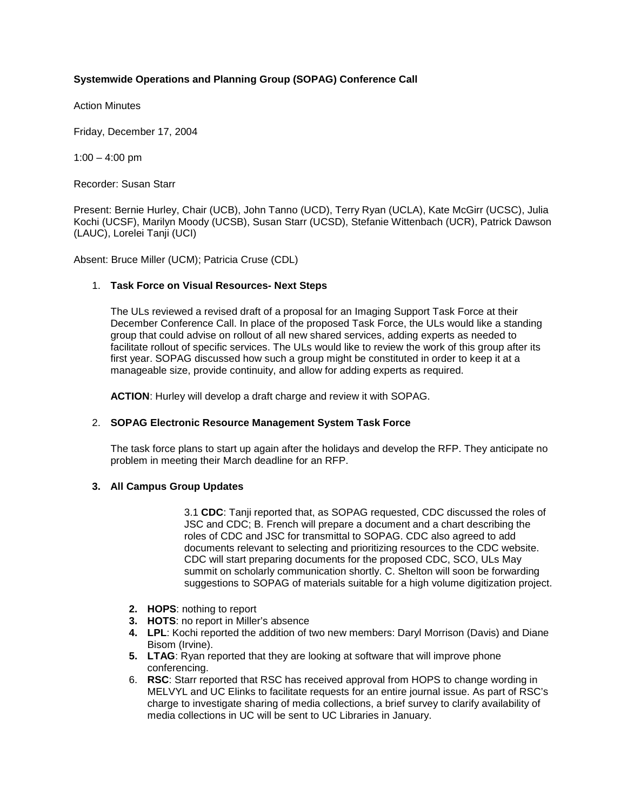# **Systemwide Operations and Planning Group (SOPAG) Conference Call**

Action Minutes

Friday, December 17, 2004

 $1:00 - 4:00$  pm

Recorder: Susan Starr

Present: Bernie Hurley, Chair (UCB), John Tanno (UCD), Terry Ryan (UCLA), Kate McGirr (UCSC), Julia Kochi (UCSF), Marilyn Moody (UCSB), Susan Starr (UCSD), Stefanie Wittenbach (UCR), Patrick Dawson (LAUC), Lorelei Tanji (UCI)

Absent: Bruce Miller (UCM); Patricia Cruse (CDL)

## 1. **Task Force on Visual Resources- Next Steps**

The ULs reviewed a revised draft of a proposal for an Imaging Support Task Force at their December Conference Call. In place of the proposed Task Force, the ULs would like a standing group that could advise on rollout of all new shared services, adding experts as needed to facilitate rollout of specific services. The ULs would like to review the work of this group after its first year. SOPAG discussed how such a group might be constituted in order to keep it at a manageable size, provide continuity, and allow for adding experts as required.

**ACTION**: Hurley will develop a draft charge and review it with SOPAG.

## 2. **SOPAG Electronic Resource Management System Task Force**

The task force plans to start up again after the holidays and develop the RFP. They anticipate no problem in meeting their March deadline for an RFP.

## **3. All Campus Group Updates**

3.1 **CDC**: Tanji reported that, as SOPAG requested, CDC discussed the roles of JSC and CDC; B. French will prepare a document and a chart describing the roles of CDC and JSC for transmittal to SOPAG. CDC also agreed to add documents relevant to selecting and prioritizing resources to the CDC website. CDC will start preparing documents for the proposed CDC, SCO, ULs May summit on scholarly communication shortly. C. Shelton will soon be forwarding suggestions to SOPAG of materials suitable for a high volume digitization project.

- **2. HOPS**: nothing to report
- **3. HOTS**: no report in Miller's absence
- **4. LPL**: Kochi reported the addition of two new members: Daryl Morrison (Davis) and Diane Bisom (Irvine).
- **5. LTAG**: Ryan reported that they are looking at software that will improve phone conferencing.
- 6. **RSC**: Starr reported that RSC has received approval from HOPS to change wording in MELVYL and UC Elinks to facilitate requests for an entire journal issue. As part of RSC's charge to investigate sharing of media collections, a brief survey to clarify availability of media collections in UC will be sent to UC Libraries in January.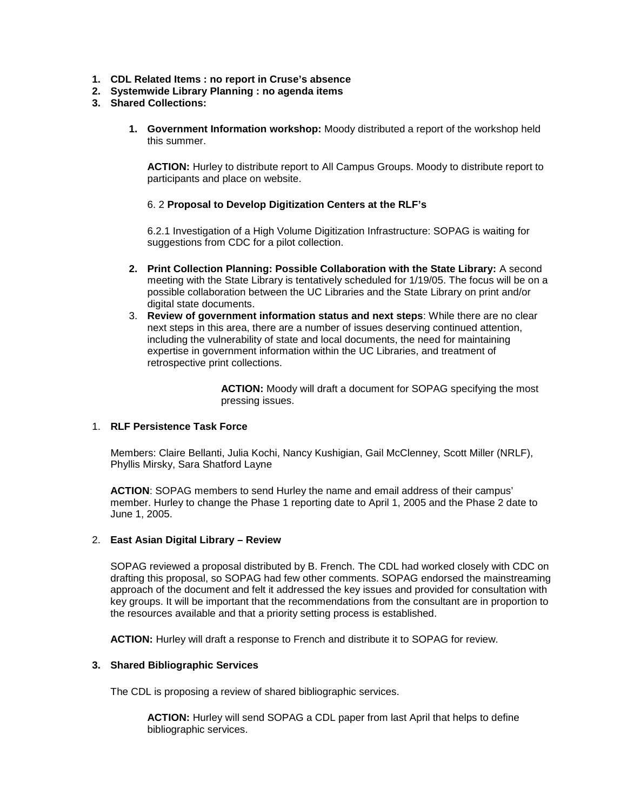- **1. CDL Related Items : no report in Cruse's absence**
- **2. Systemwide Library Planning : no agenda items**
- **3. Shared Collections:**
	- **1. Government Information workshop:** Moody distributed a report of the workshop held this summer.

**ACTION:** Hurley to distribute report to All Campus Groups. Moody to distribute report to participants and place on website.

## 6. 2 **Proposal to Develop Digitization Centers at the RLF's**

6.2.1 Investigation of a High Volume Digitization Infrastructure: SOPAG is waiting for suggestions from CDC for a pilot collection.

- **2. Print Collection Planning: Possible Collaboration with the State Library:** A second meeting with the State Library is tentatively scheduled for 1/19/05. The focus will be on a possible collaboration between the UC Libraries and the State Library on print and/or digital state documents.
- 3. **Review of government information status and next steps**: While there are no clear next steps in this area, there are a number of issues deserving continued attention, including the vulnerability of state and local documents, the need for maintaining expertise in government information within the UC Libraries, and treatment of retrospective print collections.

**ACTION:** Moody will draft a document for SOPAG specifying the most pressing issues.

## 1. **RLF Persistence Task Force**

Members: Claire Bellanti, Julia Kochi, Nancy Kushigian, Gail McClenney, Scott Miller (NRLF), Phyllis Mirsky, Sara Shatford Layne

**ACTION**: SOPAG members to send Hurley the name and email address of their campus' member. Hurley to change the Phase 1 reporting date to April 1, 2005 and the Phase 2 date to June 1, 2005.

## 2. **East Asian Digital Library – Review**

SOPAG reviewed a proposal distributed by B. French. The CDL had worked closely with CDC on drafting this proposal, so SOPAG had few other comments. SOPAG endorsed the mainstreaming approach of the document and felt it addressed the key issues and provided for consultation with key groups. It will be important that the recommendations from the consultant are in proportion to the resources available and that a priority setting process is established.

**ACTION:** Hurley will draft a response to French and distribute it to SOPAG for review.

## **3. Shared Bibliographic Services**

The CDL is proposing a review of shared bibliographic services.

**ACTION:** Hurley will send SOPAG a CDL paper from last April that helps to define bibliographic services.